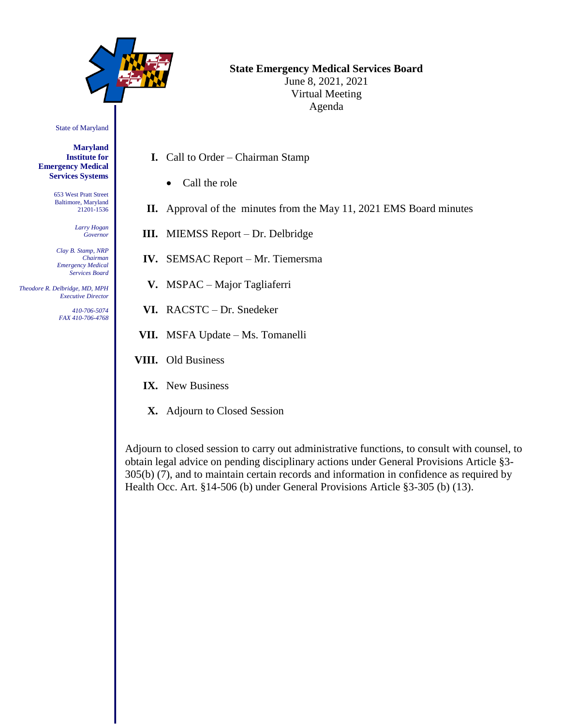

# **State Emergency Medical Services Board**

June 8, 2021, 2021 Virtual Meeting Agenda

State of Maryland

**Maryland Institute for Emergency Medical Services Systems**

> 653 West Pratt Street Baltimore, Maryland 21201-1536

> > *Larry Hogan Governor*

*Clay B. Stamp, NRP Chairman Emergency Medical Services Board*

 *Theodore R. Delbridge, MD, MPH Executive Director*

> *410-706-5074 FAX 410-706-4768*

- **I.** Call to Order Chairman Stamp
	- Call the role
- **II.** Approval of the minutes from the May 11, 2021 EMS Board minutes
- **III.** MIEMSS Report Dr. Delbridge
- **IV.** SEMSAC Report Mr. Tiemersma
- **V.** MSPAC Major Tagliaferri
- **VI.** RACSTC Dr. Snedeker
- **VII.** MSFA Update Ms. Tomanelli
- **VIII.** Old Business
	- **IX.** New Business
	- **X.** Adjourn to Closed Session

Adjourn to closed session to carry out administrative functions, to consult with counsel, to obtain legal advice on pending disciplinary actions under General Provisions Article §3- 305(b) (7), and to maintain certain records and information in confidence as required by Health Occ. Art. §14-506 (b) under General Provisions Article §3-305 (b) (13).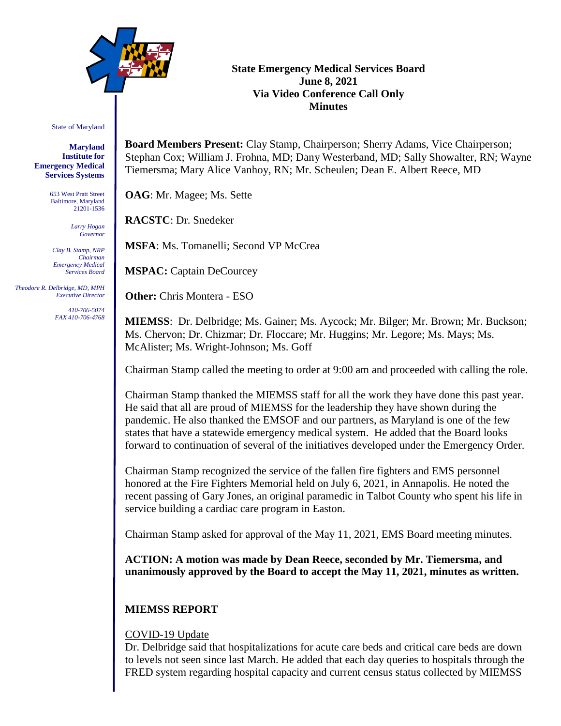

### **State Emergency Medical Services Board June 8, 2021 Via Video Conference Call Only Minutes**

State of Maryland

**Maryland Institute for Emergency Medical Services Systems**

> 653 West Pratt Street Baltimore, Maryland 21201-1536

> > *Larry Hogan Governor*

*Clay B. Stamp, NRP Chairman Emergency Medical Services Board*

 *Theodore R. Delbridge, MD, MPH Executive Director*

> *410-706-5074 FAX 410-706-4768*

**Board Members Present:** Clay Stamp, Chairperson; Sherry Adams, Vice Chairperson; Stephan Cox; William J. Frohna, MD; Dany Westerband, MD; Sally Showalter, RN; Wayne Tiemersma; Mary Alice Vanhoy, RN; Mr. Scheulen; Dean E. Albert Reece, MD

**OAG**: Mr. Magee; Ms. Sette

**RACSTC**: Dr. Snedeker

**MSFA**: Ms. Tomanelli; Second VP McCrea

**MSPAC:** Captain DeCourcey

**Other:** Chris Montera - ESO

**MIEMSS**: Dr. Delbridge; Ms. Gainer; Ms. Aycock; Mr. Bilger; Mr. Brown; Mr. Buckson; Ms. Chervon; Dr. Chizmar; Dr. Floccare; Mr. Huggins; Mr. Legore; Ms. Mays; Ms. McAlister; Ms. Wright-Johnson; Ms. Goff

Chairman Stamp called the meeting to order at 9:00 am and proceeded with calling the role.

Chairman Stamp thanked the MIEMSS staff for all the work they have done this past year. He said that all are proud of MIEMSS for the leadership they have shown during the pandemic. He also thanked the EMSOF and our partners, as Maryland is one of the few states that have a statewide emergency medical system. He added that the Board looks forward to continuation of several of the initiatives developed under the Emergency Order.

Chairman Stamp recognized the service of the fallen fire fighters and EMS personnel honored at the Fire Fighters Memorial held on July 6, 2021, in Annapolis. He noted the recent passing of Gary Jones, an original paramedic in Talbot County who spent his life in service building a cardiac care program in Easton.

Chairman Stamp asked for approval of the May 11, 2021, EMS Board meeting minutes.

**ACTION: A motion was made by Dean Reece, seconded by Mr. Tiemersma, and unanimously approved by the Board to accept the May 11, 2021, minutes as written.**

## **MIEMSS REPORT**

### COVID-19 Update

Dr. Delbridge said that hospitalizations for acute care beds and critical care beds are down to levels not seen since last March. He added that each day queries to hospitals through the FRED system regarding hospital capacity and current census status collected by MIEMSS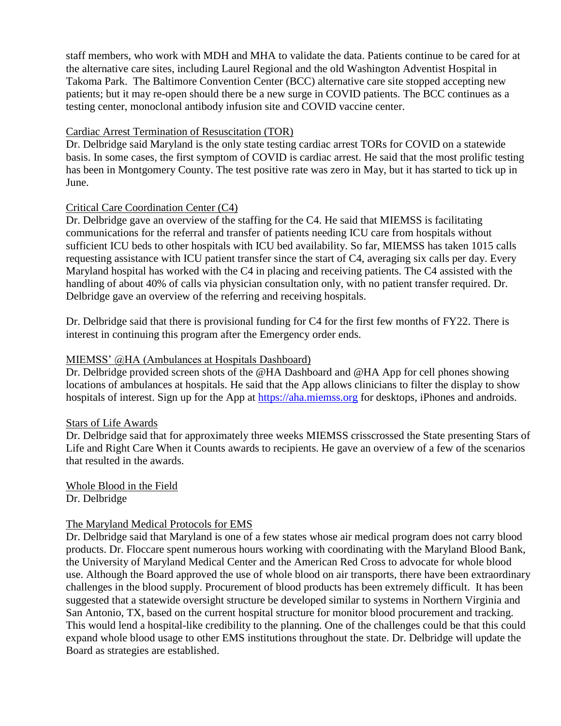staff members, who work with MDH and MHA to validate the data. Patients continue to be cared for at the alternative care sites, including Laurel Regional and the old Washington Adventist Hospital in Takoma Park. The Baltimore Convention Center (BCC) alternative care site stopped accepting new patients; but it may re-open should there be a new surge in COVID patients. The BCC continues as a testing center, monoclonal antibody infusion site and COVID vaccine center.

### Cardiac Arrest Termination of Resuscitation (TOR)

Dr. Delbridge said Maryland is the only state testing cardiac arrest TORs for COVID on a statewide basis. In some cases, the first symptom of COVID is cardiac arrest. He said that the most prolific testing has been in Montgomery County. The test positive rate was zero in May, but it has started to tick up in June.

### Critical Care Coordination Center (C4)

Dr. Delbridge gave an overview of the staffing for the C4. He said that MIEMSS is facilitating communications for the referral and transfer of patients needing ICU care from hospitals without sufficient ICU beds to other hospitals with ICU bed availability. So far, MIEMSS has taken 1015 calls requesting assistance with ICU patient transfer since the start of C4, averaging six calls per day. Every Maryland hospital has worked with the C4 in placing and receiving patients. The C4 assisted with the handling of about 40% of calls via physician consultation only, with no patient transfer required. Dr. Delbridge gave an overview of the referring and receiving hospitals.

Dr. Delbridge said that there is provisional funding for C4 for the first few months of FY22. There is interest in continuing this program after the Emergency order ends.

### MIEMSS' @HA (Ambulances at Hospitals Dashboard)

Dr. Delbridge provided screen shots of the @HA Dashboard and @HA App for cell phones showing locations of ambulances at hospitals. He said that the App allows clinicians to filter the display to show hospitals of interest. Sign up for the App at [https://aha.miemss.org](https://aha.miemss.org/) for desktops, iPhones and androids.

#### Stars of Life Awards

Dr. Delbridge said that for approximately three weeks MIEMSS crisscrossed the State presenting Stars of Life and Right Care When it Counts awards to recipients. He gave an overview of a few of the scenarios that resulted in the awards.

Whole Blood in the Field Dr. Delbridge

#### The Maryland Medical Protocols for EMS

Dr. Delbridge said that Maryland is one of a few states whose air medical program does not carry blood products. Dr. Floccare spent numerous hours working with coordinating with the Maryland Blood Bank, the University of Maryland Medical Center and the American Red Cross to advocate for whole blood use. Although the Board approved the use of whole blood on air transports, there have been extraordinary challenges in the blood supply. Procurement of blood products has been extremely difficult. It has been suggested that a statewide oversight structure be developed similar to systems in Northern Virginia and San Antonio, TX, based on the current hospital structure for monitor blood procurement and tracking. This would lend a hospital-like credibility to the planning. One of the challenges could be that this could expand whole blood usage to other EMS institutions throughout the state. Dr. Delbridge will update the Board as strategies are established.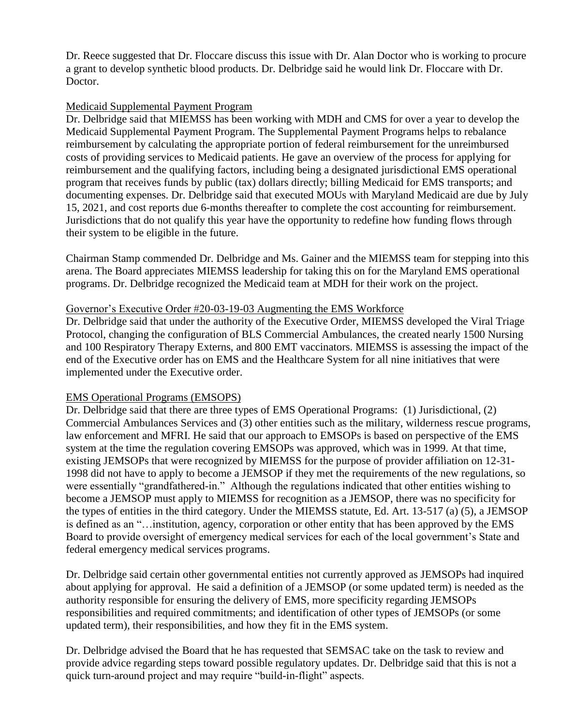Dr. Reece suggested that Dr. Floccare discuss this issue with Dr. Alan Doctor who is working to procure a grant to develop synthetic blood products. Dr. Delbridge said he would link Dr. Floccare with Dr. Doctor.

### Medicaid Supplemental Payment Program

Dr. Delbridge said that MIEMSS has been working with MDH and CMS for over a year to develop the Medicaid Supplemental Payment Program. The Supplemental Payment Programs helps to rebalance reimbursement by calculating the appropriate portion of federal reimbursement for the unreimbursed costs of providing services to Medicaid patients. He gave an overview of the process for applying for reimbursement and the qualifying factors, including being a designated jurisdictional EMS operational program that receives funds by public (tax) dollars directly; billing Medicaid for EMS transports; and documenting expenses. Dr. Delbridge said that executed MOUs with Maryland Medicaid are due by July 15, 2021, and cost reports due 6-months thereafter to complete the cost accounting for reimbursement. Jurisdictions that do not qualify this year have the opportunity to redefine how funding flows through their system to be eligible in the future.

Chairman Stamp commended Dr. Delbridge and Ms. Gainer and the MIEMSS team for stepping into this arena. The Board appreciates MIEMSS leadership for taking this on for the Maryland EMS operational programs. Dr. Delbridge recognized the Medicaid team at MDH for their work on the project.

#### Governor's Executive Order #20-03-19-03 Augmenting the EMS Workforce

Dr. Delbridge said that under the authority of the Executive Order, MIEMSS developed the Viral Triage Protocol, changing the configuration of BLS Commercial Ambulances, the created nearly 1500 Nursing and 100 Respiratory Therapy Externs, and 800 EMT vaccinators. MIEMSS is assessing the impact of the end of the Executive order has on EMS and the Healthcare System for all nine initiatives that were implemented under the Executive order.

### EMS Operational Programs (EMSOPS)

Dr. Delbridge said that there are three types of EMS Operational Programs: (1) Jurisdictional, (2) Commercial Ambulances Services and (3) other entities such as the military, wilderness rescue programs, law enforcement and MFRI. He said that our approach to EMSOPs is based on perspective of the EMS system at the time the regulation covering EMSOPs was approved, which was in 1999. At that time, existing JEMSOPs that were recognized by MIEMSS for the purpose of provider affiliation on 12-31- 1998 did not have to apply to become a JEMSOP if they met the requirements of the new regulations, so were essentially "grandfathered-in." Although the regulations indicated that other entities wishing to become a JEMSOP must apply to MIEMSS for recognition as a JEMSOP, there was no specificity for the types of entities in the third category. Under the MIEMSS statute, Ed. Art. 13-517 (a) (5), a JEMSOP is defined as an "…institution, agency, corporation or other entity that has been approved by the EMS Board to provide oversight of emergency medical services for each of the local government's State and federal emergency medical services programs.

Dr. Delbridge said certain other governmental entities not currently approved as JEMSOPs had inquired about applying for approval. He said a definition of a JEMSOP (or some updated term) is needed as the authority responsible for ensuring the delivery of EMS, more specificity regarding JEMSOPs responsibilities and required commitments; and identification of other types of JEMSOPs (or some updated term), their responsibilities, and how they fit in the EMS system.

Dr. Delbridge advised the Board that he has requested that SEMSAC take on the task to review and provide advice regarding steps toward possible regulatory updates. Dr. Delbridge said that this is not a quick turn-around project and may require "build-in-flight" aspects.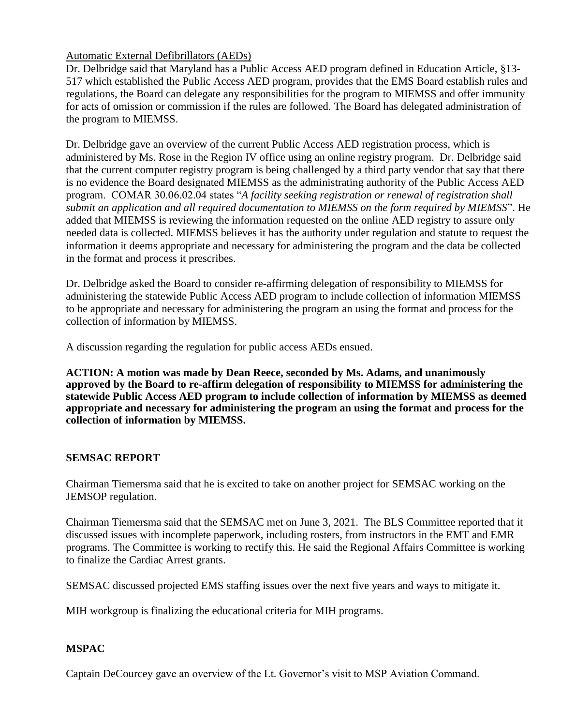### Automatic External Defibrillators (AEDs)

Dr. Delbridge said that Maryland has a Public Access AED program defined in Education Article, §13- 517 which established the Public Access AED program, provides that the EMS Board establish rules and regulations, the Board can delegate any responsibilities for the program to MIEMSS and offer immunity for acts of omission or commission if the rules are followed. The Board has delegated administration of the program to MIEMSS.

Dr. Delbridge gave an overview of the current Public Access AED registration process, which is administered by Ms. Rose in the Region IV office using an online registry program. Dr. Delbridge said that the current computer registry program is being challenged by a third party vendor that say that there is no evidence the Board designated MIEMSS as the administrating authority of the Public Access AED program. COMAR 30.06.02.04 states "*A facility seeking registration or renewal of registration shall submit an application and all required documentation to MIEMSS on the form required by MIEMSS*". He added that MIEMSS is reviewing the information requested on the online AED registry to assure only needed data is collected. MIEMSS believes it has the authority under regulation and statute to request the information it deems appropriate and necessary for administering the program and the data be collected in the format and process it prescribes.

Dr. Delbridge asked the Board to consider re-affirming delegation of responsibility to MIEMSS for administering the statewide Public Access AED program to include collection of information MIEMSS to be appropriate and necessary for administering the program an using the format and process for the collection of information by MIEMSS.

A discussion regarding the regulation for public access AEDs ensued.

**ACTION: A motion was made by Dean Reece, seconded by Ms. Adams, and unanimously approved by the Board to re-affirm delegation of responsibility to MIEMSS for administering the statewide Public Access AED program to include collection of information by MIEMSS as deemed appropriate and necessary for administering the program an using the format and process for the collection of information by MIEMSS.**

#### **SEMSAC REPORT**

Chairman Tiemersma said that he is excited to take on another project for SEMSAC working on the JEMSOP regulation.

Chairman Tiemersma said that the SEMSAC met on June 3, 2021. The BLS Committee reported that it discussed issues with incomplete paperwork, including rosters, from instructors in the EMT and EMR programs. The Committee is working to rectify this. He said the Regional Affairs Committee is working to finalize the Cardiac Arrest grants.

SEMSAC discussed projected EMS staffing issues over the next five years and ways to mitigate it.

MIH workgroup is finalizing the educational criteria for MIH programs.

### **MSPAC**

Captain DeCourcey gave an overview of the Lt. Governor's visit to MSP Aviation Command.